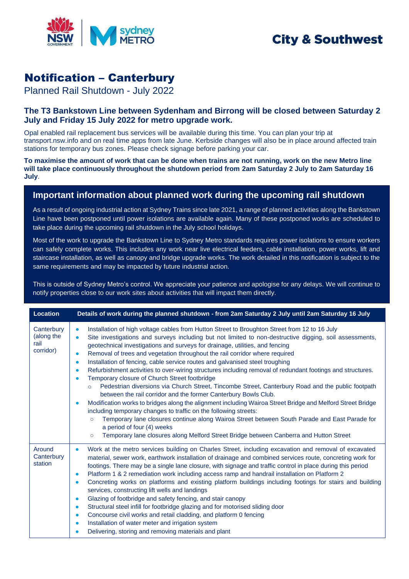

## Notification – Canterbury

Planned Rail Shutdown - July 2022

## **The T3 Bankstown Line between Sydenham and Birrong will be closed between Saturday 2 July and Friday 15 July 2022 for metro upgrade work.**

Opal enabled rail replacement bus services will be available during this time. You can plan your trip at transport.nsw.info and on real time apps from late June. Kerbside changes will also be in place around affected train stations for temporary bus zones. Please check signage before parking your car.

**To maximise the amount of work that can be done when trains are not running, work on the new Metro line will take place continuously throughout the shutdown period from 2am Saturday 2 July to 2am Saturday 16 July**.

## **Important information about planned work during the upcoming rail shutdown**

As a result of ongoing industrial action at Sydney Trains since late 2021, a range of planned activities along the Bankstown Line have been postponed until power isolations are available again. Many of these postponed works are scheduled to take place during the upcoming rail shutdown in the July school holidays.

Most of the work to upgrade the Bankstown Line to Sydney Metro standards requires power isolations to ensure workers can safely complete works. This includes any work near live electrical feeders, cable installation, power works, lift and staircase installation, as well as canopy and bridge upgrade works. The work detailed in this notification is subject to the same requirements and may be impacted by future industrial action.

This is outside of Sydney Metro's control. We appreciate your patience and apologise for any delays. We will continue to notify properties close to our work sites about activities that will impact them directly.

| <b>Location</b>                               | Details of work during the planned shutdown - from 2am Saturday 2 July until 2am Saturday 16 July                                                                                                                                                                                                                                                                                                                                                                                                                                                                                                                                                                                                                                                                                                                                                                                                                                                                                                                                                                                                                                                                                                                                                                                                                                     |
|-----------------------------------------------|---------------------------------------------------------------------------------------------------------------------------------------------------------------------------------------------------------------------------------------------------------------------------------------------------------------------------------------------------------------------------------------------------------------------------------------------------------------------------------------------------------------------------------------------------------------------------------------------------------------------------------------------------------------------------------------------------------------------------------------------------------------------------------------------------------------------------------------------------------------------------------------------------------------------------------------------------------------------------------------------------------------------------------------------------------------------------------------------------------------------------------------------------------------------------------------------------------------------------------------------------------------------------------------------------------------------------------------|
| Canterbury<br>(along the<br>rail<br>corridor) | Installation of high voltage cables from Hutton Street to Broughton Street from 12 to 16 July<br>$\bullet$<br>Site investigations and surveys including but not limited to non-destructive digging, soil assessments,<br>$\bullet$<br>geotechnical investigations and surveys for drainage, utilities, and fencing<br>Removal of trees and vegetation throughout the rail corridor where required<br>$\bullet$<br>Installation of fencing, cable service routes and galvanised steel troughing<br>$\bullet$<br>Refurbishment activities to over-wiring structures including removal of redundant footings and structures.<br>$\bullet$<br>Temporary closure of Church Street footbridge<br>$\bullet$<br>Pedestrian diversions via Church Street, Tincombe Street, Canterbury Road and the public footpath<br>$\circ$<br>between the rail corridor and the former Canterbury Bowls Club.<br>Modification works to bridges along the alignment including Wairoa Street Bridge and Melford Street Bridge<br>$\bullet$<br>including temporary changes to traffic on the following streets:<br>Temporary lane closures continue along Wairoa Street between South Parade and East Parade for<br>$\circ$<br>a period of four (4) weeks<br>Temporary lane closures along Melford Street Bridge between Canberra and Hutton Street<br>$\circ$ |
| Around<br>Canterbury<br>station               | Work at the metro services building on Charles Street, including excavation and removal of excavated<br>$\bullet$<br>material, sewer work, earthwork installation of drainage and combined services route, concreting work for<br>footings. There may be a single lane closure, with signage and traffic control in place during this period<br>Platform 1 & 2 remediation work including access ramp and handrail installation on Platform 2<br>$\bullet$<br>Concreting works on platforms and existing platform buildings including footings for stairs and building<br>$\bullet$<br>services, constructing lift wells and landings<br>Glazing of footbridge and safety fencing, and stair canopy<br>$\bullet$<br>Structural steel infill for footbridge glazing and for motorised sliding door<br>$\bullet$<br>Concourse civil works and retail cladding, and platform 0 fencing<br>$\bullet$<br>Installation of water meter and irrigation system<br>$\bullet$<br>Delivering, storing and removing materials and plant                                                                                                                                                                                                                                                                                                            |